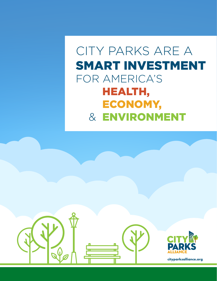# CITY PARKS ARE A SMART INVESTMENT FOR AMERICA'S HEALTH, ECONOMY, & ENVIRONMENT

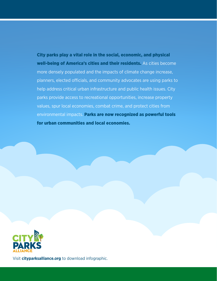City parks play a vital role in the social, economic, and physical well-being of America's cities and their residents. As cities become more densely populated and the impacts of climate change increase, planners, elected officials, and community advocates are using parks to help address critical urban infrastructure and public health issues. City parks provide access to recreational opportunities, increase property values, spur local economies, combat crime, and protect cities from environmental impacts. Parks are now recognized as powerful tools for urban communities and local economies.



Visit **cityparksalliance.org** to download infographic.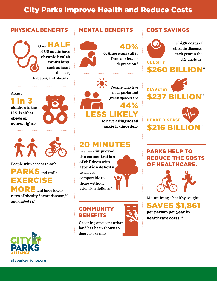## City Parks Improve Health and Reduce Costs

#### PHYSICAL BENEFITS

Over HALF of US adults have chronic health conditions, such as heart disease, diabetes, and obesity.<sup>1</sup>

About

1 in children in the U.S. is either obese or overweight.**<sup>2</sup>**



 $\mathcal{R}$ 

People with access to safe

# **PARKS** and trails EXERCISE

MORE and have lower rates of obesity, $^3$  heart disease, $^{\rm 4,5}$ and diabetes.<sup>6</sup>



**cityparksalliance.org**

### MENTAL BENEFITS



40% of Americans suffer from anxiety or depression.7



green spaces are 44%

LESS LIKELY to have a diagnosed anxiety disorder.<sup>8</sup>

## 20 MINUTES

in a park improved the concentration of children with attention deficits to a level comparable to those without attention deficits.9



**COMMUNITY BENEFITS** 

Greening of vacant urban land has been shown to decrease crime.10



### COST SAVINGS



The high costs of chronic diseases each year in the U.S. include:





### PARKS HELP TO REDUCE THE COSTS OF HEALTHCARE.



Maintaining a healthy weight

SAVES \$1,861 per person per year in  $\bm{\mathrm{heal}$ thcare costs. $^{14}$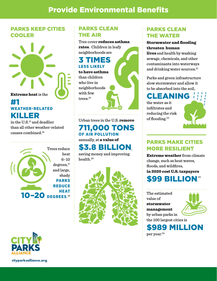### PARKS KEEP CITIES COOLER



### #1 WEATHER-RELATED KILLER

in the U.S.<sup>15</sup> and deadlier than all other weather-related causes combined.16



### PARKS CLEAN THE AIR

Tree cover **reduces asthma** rates. Children in leafy neighborhoods are

### 3 TIMES LESS LIKELY

to have asthma than children who live in neighborhoods with few trees.19



Urban trees in the U.S. **remove** 711,000 TONS OF AIR POLLUTION annually, at a value of

# \$3.8 BILLION,

saving money and improving health.20



### PARKS CLEAN THE WATER

#### Stormwater and flooding threaten human

lives and health by washing sewage, chemicals, and other contaminants into waterways and drinking water sources.<sup>21</sup>

Parks and green infrastructure slow stormwater and allow it to be absorbed into the soil,

### CLEANING

the water as it infiltrates and reducing the risk of flooding.<sup>22</sup>



### PARKS MAKE CITIES MORE RESILIENT

Extreme weather from climate change, such as heat waves, floods, and wildfires, in 2020 cost U.S. taxpayers



The estimated value of stormwater management by urban parks in the 100 largest cities is



\$989 MILLION per year.<sup>24</sup>



**cityparksalliance.org**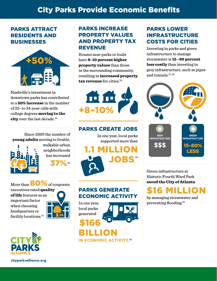### **City Parks Provide Economic Benefits**

#### PARKS ATTRACT RESIDENTS AND BUSINESSES



Nashville's investment in downtown parks has contributed to a 50% increase in the number of 25- to 34-year-olds with college degrees moving to the city over the last decade.<sup>25</sup>

Since 2000 the number of young adults moving to livable,



walkable urban neighborhoods has increased

37%.26

More than  $80\%$  of corporate executives rated quality of life features as an important factor when choosing headquarters or facility locations.<sup>27</sup>



**cityparksalliance.org**

### PARKS INCREASE PROPERTY VALUES AND PROPERTY TAX REVENUE

Houses near parks or trails have 8–10 percent higher property values than those in the surrounding community, resulting in increased property  $\textbf{tax revenue}$  for cities.<sup>28</sup>





supported more than

1.1 MILLION JOBS. 29

### PARKS GENERATE ECONOMIC ACTIVITY

In one year, local parks generated

\$166

BILLION

**IN ECONOMIC ACTIVITY.30** 



PARKS LOWER INFRASTRUCTURE COSTS FOR CITIES

Investing in parks and green infrastructure to manage stormwater is 15 –80 percent less costly than investing in grey infrastructure, such as pipes and tunnels.<sup>31, 32</sup>



Green infrastructure at Historic Fourth Ward Park saved the City of Atlanta



by managing stormwater and preventing flooding.33

PARKS CREATE JOBS